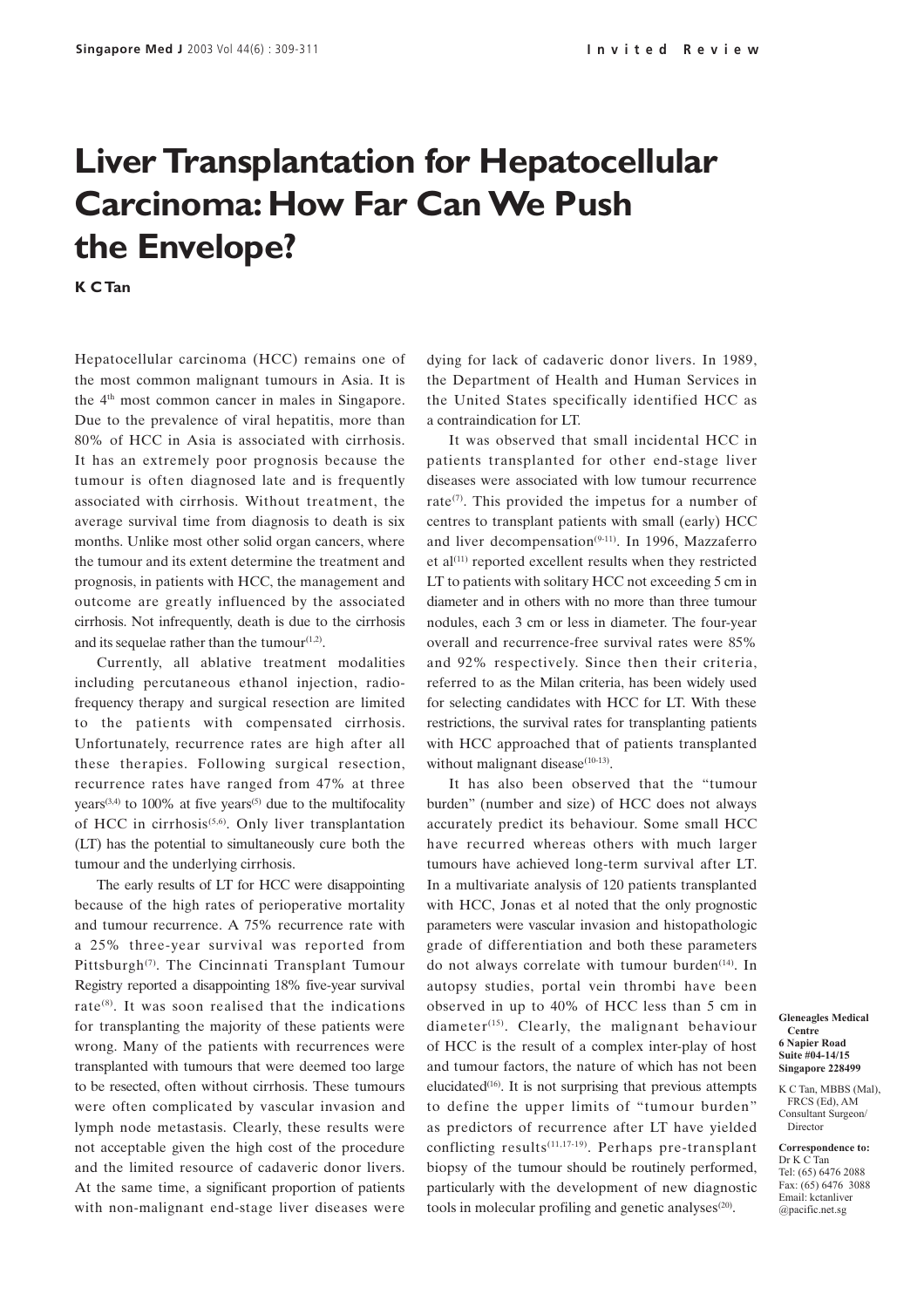## **Liver Transplantation for Hepatocellular Carcinoma: How Far Can We Push the Envelope?**

**K C Tan**

Hepatocellular carcinoma (HCC) remains one of the most common malignant tumours in Asia. It is the 4th most common cancer in males in Singapore. Due to the prevalence of viral hepatitis, more than 80% of HCC in Asia is associated with cirrhosis. It has an extremely poor prognosis because the tumour is often diagnosed late and is frequently associated with cirrhosis. Without treatment, the average survival time from diagnosis to death is six months. Unlike most other solid organ cancers, where the tumour and its extent determine the treatment and prognosis, in patients with HCC, the management and outcome are greatly influenced by the associated cirrhosis. Not infrequently, death is due to the cirrhosis and its sequelae rather than the tumour $(1,2)$ .

Currently, all ablative treatment modalities including percutaneous ethanol injection, radiofrequency therapy and surgical resection are limited to the patients with compensated cirrhosis. Unfortunately, recurrence rates are high after all these therapies. Following surgical resection, recurrence rates have ranged from 47% at three years<sup> $(3,4)$ </sup> to 100% at five years<sup> $(5)$ </sup> due to the multifocality of HCC in cirrhosis<sup> $(5,6)$ </sup>. Only liver transplantation (LT) has the potential to simultaneously cure both the tumour and the underlying cirrhosis.

The early results of LT for HCC were disappointing because of the high rates of perioperative mortality and tumour recurrence. A 75% recurrence rate with a 25% three-year survival was reported from Pittsburgh<sup>(7)</sup>. The Cincinnati Transplant Tumour Registry reported a disappointing 18% five-year survival rate $^{(8)}$ . It was soon realised that the indications for transplanting the majority of these patients were wrong. Many of the patients with recurrences were transplanted with tumours that were deemed too large to be resected, often without cirrhosis. These tumours were often complicated by vascular invasion and lymph node metastasis. Clearly, these results were not acceptable given the high cost of the procedure and the limited resource of cadaveric donor livers. At the same time, a significant proportion of patients with non-malignant end-stage liver diseases were

dying for lack of cadaveric donor livers. In 1989, the Department of Health and Human Services in the United States specifically identified HCC as a contraindication for LT.

It was observed that small incidental HCC in patients transplanted for other end-stage liver diseases were associated with low tumour recurrence rate $(7)$ . This provided the impetus for a number of centres to transplant patients with small (early) HCC and liver decompensation<sup>(9-11)</sup>. In 1996, Mazzaferro et al $(11)$  reported excellent results when they restricted LT to patients with solitary HCC not exceeding 5 cm in diameter and in others with no more than three tumour nodules, each 3 cm or less in diameter. The four-year overall and recurrence-free survival rates were 85% and 92% respectively. Since then their criteria, referred to as the Milan criteria, has been widely used for selecting candidates with HCC for LT. With these restrictions, the survival rates for transplanting patients with HCC approached that of patients transplanted without malignant disease $(10-13)$ .

It has also been observed that the "tumour burden" (number and size) of HCC does not always accurately predict its behaviour. Some small HCC have recurred whereas others with much larger tumours have achieved long-term survival after LT. In a multivariate analysis of 120 patients transplanted with HCC, Jonas et al noted that the only prognostic parameters were vascular invasion and histopathologic grade of differentiation and both these parameters do not always correlate with tumour burden<sup>(14)</sup>. In autopsy studies, portal vein thrombi have been observed in up to 40% of HCC less than 5 cm in diameter<sup>(15)</sup>. Clearly, the malignant behaviour of HCC is the result of a complex inter-play of host and tumour factors, the nature of which has not been elucidated $(16)$ . It is not surprising that previous attempts to define the upper limits of "tumour burden" as predictors of recurrence after LT have yielded conflicting results $(11,17-19)$ . Perhaps pre-transplant biopsy of the tumour should be routinely performed, particularly with the development of new diagnostic tools in molecular profiling and genetic analyses $(20)$ .

**Gleneagles Medical Centre 6 Napier Road Suite #04-14/15 Singapore 228499**

K C Tan, MBBS (Mal), FRCS (Ed), AM Consultant Surgeon/ Director

**Correspondence to:** Dr K C Tan Tel: (65) 6476 2088 Fax: (65) 6476 3088 Email: kctanliver @pacific.net.sg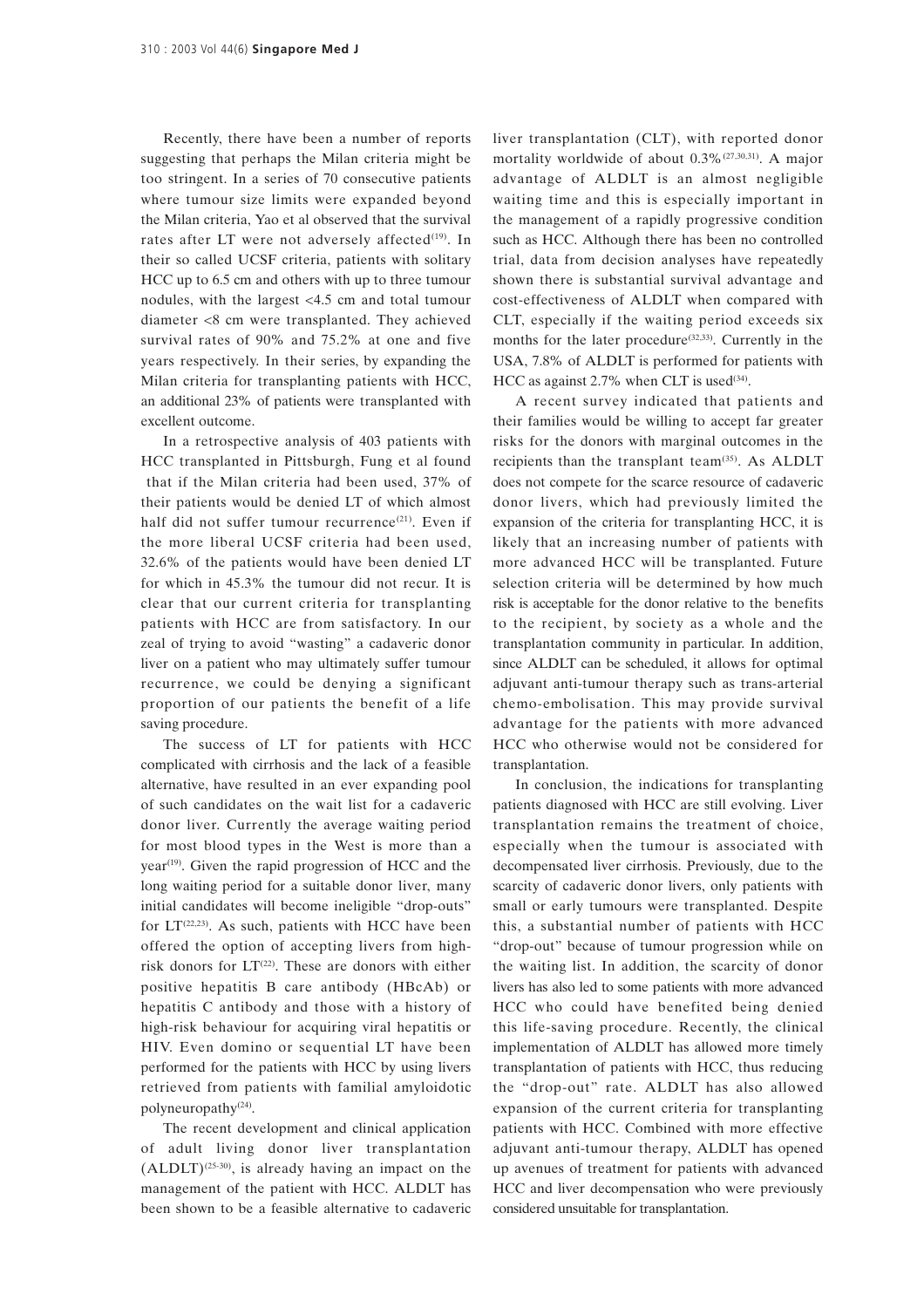Recently, there have been a number of reports suggesting that perhaps the Milan criteria might be too stringent. In a series of 70 consecutive patients where tumour size limits were expanded beyond the Milan criteria, Yao et al observed that the survival rates after LT were not adversely affected $(19)$ . In their so called UCSF criteria, patients with solitary HCC up to 6.5 cm and others with up to three tumour nodules, with the largest <4.5 cm and total tumour diameter <8 cm were transplanted. They achieved survival rates of 90% and 75.2% at one and five years respectively. In their series, by expanding the Milan criteria for transplanting patients with HCC, an additional 23% of patients were transplanted with excellent outcome.

In a retrospective analysis of 403 patients with HCC transplanted in Pittsburgh, Fung et al found that if the Milan criteria had been used, 37% of their patients would be denied LT of which almost half did not suffer tumour recurrence<sup>(21)</sup>. Even if the more liberal UCSF criteria had been used, 32.6% of the patients would have been denied LT for which in 45.3% the tumour did not recur. It is clear that our current criteria for transplanting patients with HCC are from satisfactory. In our zeal of trying to avoid "wasting" a cadaveric donor liver on a patient who may ultimately suffer tumour recurrence, we could be denying a significant proportion of our patients the benefit of a life saving procedure.

The success of LT for patients with HCC complicated with cirrhosis and the lack of a feasible alternative, have resulted in an ever expanding pool of such candidates on the wait list for a cadaveric donor liver. Currently the average waiting period for most blood types in the West is more than a  $year<sup>(19)</sup>$ . Given the rapid progression of HCC and the long waiting period for a suitable donor liver, many initial candidates will become ineligible "drop-outs" for  $LT^{(22,23)}$ . As such, patients with HCC have been offered the option of accepting livers from highrisk donors for  $LT^{(22)}$ . These are donors with either positive hepatitis B care antibody (HBcAb) or hepatitis C antibody and those with a history of high-risk behaviour for acquiring viral hepatitis or HIV. Even domino or sequential LT have been performed for the patients with HCC by using livers retrieved from patients with familial amyloidotic polyneuropathy(24).

The recent development and clinical application of adult living donor liver transplantation  $(ALDLT)^{(25-30)}$ , is already having an impact on the management of the patient with HCC. ALDLT has been shown to be a feasible alternative to cadaveric liver transplantation (CLT), with reported donor mortality worldwide of about 0.3%(27,30,31). A major advantage of ALDLT is an almost negligible waiting time and this is especially important in the management of a rapidly progressive condition such as HCC. Although there has been no controlled trial, data from decision analyses have repeatedly shown there is substantial survival advantage and cost-effectiveness of ALDLT when compared with CLT, especially if the waiting period exceeds six months for the later procedure<sup> $(32,33)$ </sup>. Currently in the USA, 7.8% of ALDLT is performed for patients with HCC as against 2.7% when CLT is used $^{(34)}$ .

A recent survey indicated that patients and their families would be willing to accept far greater risks for the donors with marginal outcomes in the recipients than the transplant team<sup>(35)</sup>. As ALDLT does not compete for the scarce resource of cadaveric donor livers, which had previously limited the expansion of the criteria for transplanting HCC, it is likely that an increasing number of patients with more advanced HCC will be transplanted. Future selection criteria will be determined by how much risk is acceptable for the donor relative to the benefits to the recipient, by society as a whole and the transplantation community in particular. In addition, since ALDLT can be scheduled, it allows for optimal adjuvant anti-tumour therapy such as trans-arterial chemo-embolisation. This may provide survival advantage for the patients with more advanced HCC who otherwise would not be considered for transplantation.

In conclusion, the indications for transplanting patients diagnosed with HCC are still evolving. Liver transplantation remains the treatment of choice, especially when the tumour is associated with decompensated liver cirrhosis. Previously, due to the scarcity of cadaveric donor livers, only patients with small or early tumours were transplanted. Despite this, a substantial number of patients with HCC "drop-out" because of tumour progression while on the waiting list. In addition, the scarcity of donor livers has also led to some patients with more advanced HCC who could have benefited being denied this life-saving procedure. Recently, the clinical implementation of ALDLT has allowed more timely transplantation of patients with HCC, thus reducing the "drop-out" rate. ALDLT has also allowed expansion of the current criteria for transplanting patients with HCC. Combined with more effective adjuvant anti-tumour therapy, ALDLT has opened up avenues of treatment for patients with advanced HCC and liver decompensation who were previously considered unsuitable for transplantation.